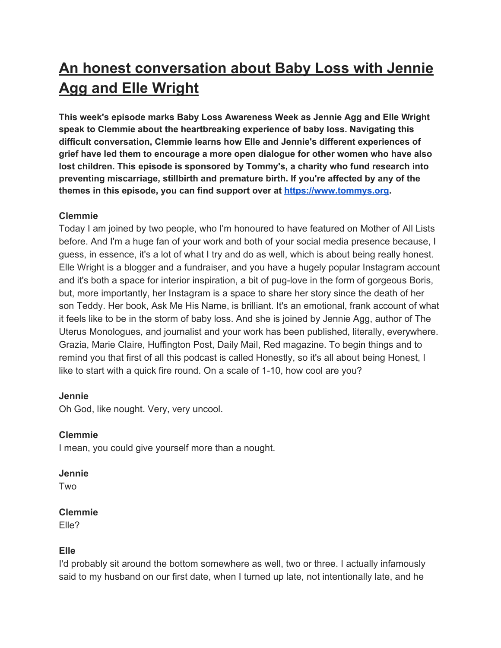# **An honest conversation about Baby Loss with Jennie Agg and Elle Wright**

**This week's episode marks Baby Loss Awareness Week as Jennie Agg and Elle Wright speak to Clemmie about the heartbreaking experience of baby loss. Navigating this difficult conversation, Clemmie learns how Elle and Jennie's different experiences of grief have led them to encourage a more open dialogue for other women who have also lost children. This episode is sponsored by Tommy's, a charity who fund research into preventing miscarriage, stillbirth and premature birth. If you're affected by any of the themes in this episode, you can find support over at [https://www.tommys.org.](https://www.tommys.org/)**

# **Clemmie**

Today I am joined by two people, who I'm honoured to have featured on Mother of All Lists before. And I'm a huge fan of your work and both of your social media presence because, I guess, in essence, it's a lot of what I try and do as well, which is about being really honest. Elle Wright is a blogger and a fundraiser, and you have a hugely popular Instagram account and it's both a space for interior inspiration, a bit of pug-love in the form of gorgeous Boris, but, more importantly, her Instagram is a space to share her story since the death of her son Teddy. Her book, Ask Me His Name, is brilliant. It's an emotional, frank account of what it feels like to be in the storm of baby loss. And she is joined by Jennie Agg, author of The Uterus Monologues, and journalist and your work has been published, literally, everywhere. Grazia, Marie Claire, Huffington Post, Daily Mail, Red magazine. To begin things and to remind you that first of all this podcast is called Honestly, so it's all about being Honest, I like to start with a quick fire round. On a scale of 1-10, how cool are you?

# **Jennie**

Oh God, like nought. Very, very uncool.

# **Clemmie**

I mean, you could give yourself more than a nought.

# **Jennie**

Two

# **Clemmie**

Elle?

# **Elle**

I'd probably sit around the bottom somewhere as well, two or three. I actually infamously said to my husband on our first date, when I turned up late, not intentionally late, and he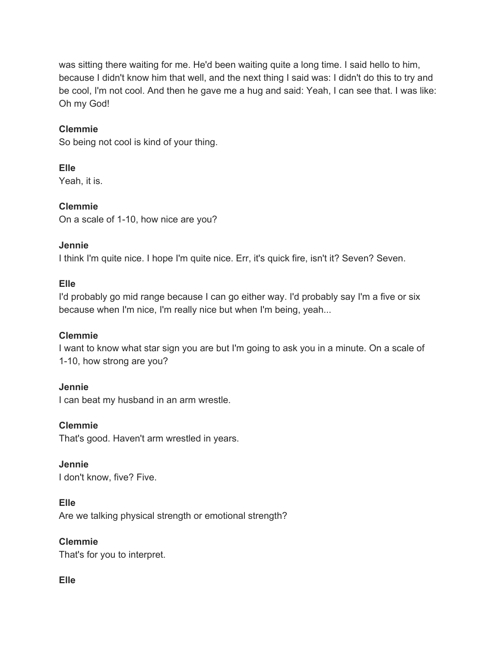was sitting there waiting for me. He'd been waiting quite a long time. I said hello to him, because I didn't know him that well, and the next thing I said was: I didn't do this to try and be cool, I'm not cool. And then he gave me a hug and said: Yeah, I can see that. I was like: Oh my God!

## **Clemmie**

So being not cool is kind of your thing.

**Elle** Yeah, it is.

**Clemmie** On a scale of 1-10, how nice are you?

## **Jennie**

I think I'm quite nice. I hope I'm quite nice. Err, it's quick fire, isn't it? Seven? Seven.

## **Elle**

I'd probably go mid range because I can go either way. I'd probably say I'm a five or six because when I'm nice, I'm really nice but when I'm being, yeah...

# **Clemmie**

I want to know what star sign you are but I'm going to ask you in a minute. On a scale of 1-10, how strong are you?

**Jennie**

I can beat my husband in an arm wrestle.

# **Clemmie**

That's good. Haven't arm wrestled in years.

**Jennie**

I don't know, five? Five.

# **Elle**

Are we talking physical strength or emotional strength?

# **Clemmie**

That's for you to interpret.

# **Elle**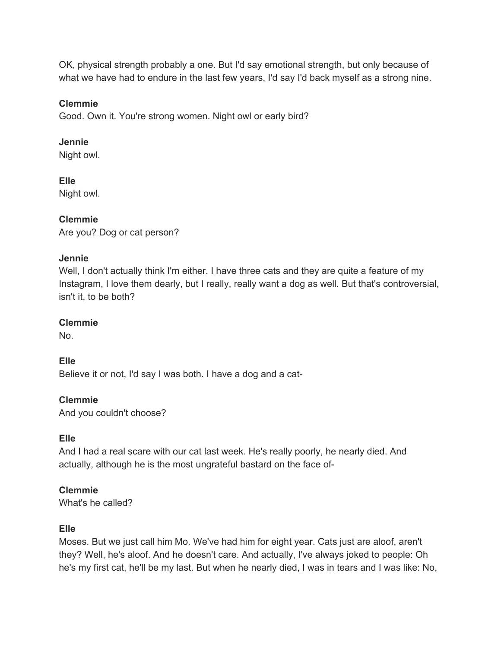OK, physical strength probably a one. But I'd say emotional strength, but only because of what we have had to endure in the last few years, I'd say I'd back myself as a strong nine.

# **Clemmie**

Good. Own it. You're strong women. Night owl or early bird?

# **Jennie**

Night owl.

# **Elle**

Night owl.

# **Clemmie**

Are you? Dog or cat person?

# **Jennie**

Well, I don't actually think I'm either. I have three cats and they are quite a feature of my Instagram, I love them dearly, but I really, really want a dog as well. But that's controversial, isn't it, to be both?

# **Clemmie**

No.

# **Elle**

Believe it or not, I'd say I was both. I have a dog and a cat-

# **Clemmie**

And you couldn't choose?

# **Elle**

And I had a real scare with our cat last week. He's really poorly, he nearly died. And actually, although he is the most ungrateful bastard on the face of-

# **Clemmie**

What's he called?

# **Elle**

Moses. But we just call him Mo. We've had him for eight year. Cats just are aloof, aren't they? Well, he's aloof. And he doesn't care. And actually, I've always joked to people: Oh he's my first cat, he'll be my last. But when he nearly died, I was in tears and I was like: No,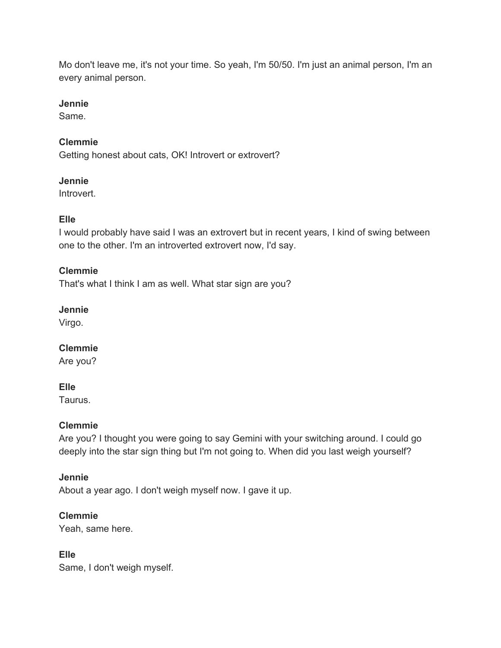Mo don't leave me, it's not your time. So yeah, I'm 50/50. I'm just an animal person, I'm an every animal person.

#### **Jennie**

Same.

# **Clemmie**

Getting honest about cats, OK! Introvert or extrovert?

## **Jennie**

Introvert.

# **Elle**

I would probably have said I was an extrovert but in recent years, I kind of swing between one to the other. I'm an introverted extrovert now, I'd say.

# **Clemmie**

That's what I think I am as well. What star sign are you?

# **Jennie**

Virgo.

# **Clemmie**

Are you?

# **Elle**

Taurus.

# **Clemmie**

Are you? I thought you were going to say Gemini with your switching around. I could go deeply into the star sign thing but I'm not going to. When did you last weigh yourself?

# **Jennie**

About a year ago. I don't weigh myself now. I gave it up.

# **Clemmie**

Yeah, same here.

# **Elle**

Same, I don't weigh myself.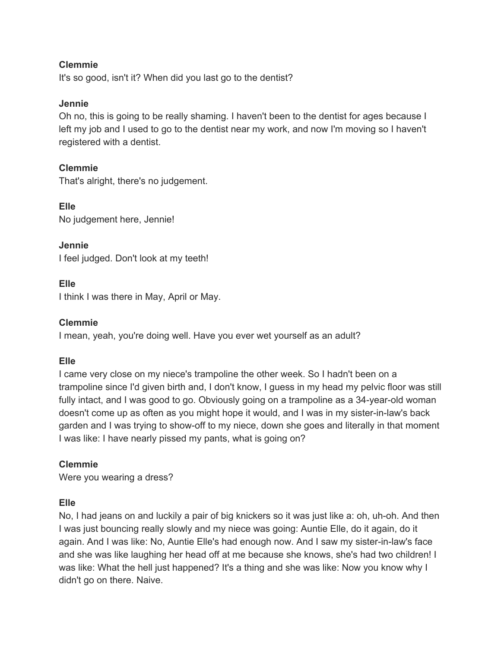It's so good, isn't it? When did you last go to the dentist?

#### **Jennie**

Oh no, this is going to be really shaming. I haven't been to the dentist for ages because I left my job and I used to go to the dentist near my work, and now I'm moving so I haven't registered with a dentist.

## **Clemmie**

That's alright, there's no judgement.

**Elle** No judgement here, Jennie!

**Jennie** I feel judged. Don't look at my teeth!

## **Elle**

I think I was there in May, April or May.

## **Clemmie**

I mean, yeah, you're doing well. Have you ever wet yourself as an adult?

#### **Elle**

I came very close on my niece's trampoline the other week. So I hadn't been on a trampoline since I'd given birth and, I don't know, I guess in my head my pelvic floor was still fully intact, and I was good to go. Obviously going on a trampoline as a 34-year-old woman doesn't come up as often as you might hope it would, and I was in my sister-in-law's back garden and I was trying to show-off to my niece, down she goes and literally in that moment I was like: I have nearly pissed my pants, what is going on?

#### **Clemmie**

Were you wearing a dress?

#### **Elle**

No, I had jeans on and luckily a pair of big knickers so it was just like a: oh, uh-oh. And then I was just bouncing really slowly and my niece was going: Auntie Elle, do it again, do it again. And I was like: No, Auntie Elle's had enough now. And I saw my sister-in-law's face and she was like laughing her head off at me because she knows, she's had two children! I was like: What the hell just happened? It's a thing and she was like: Now you know why I didn't go on there. Naive.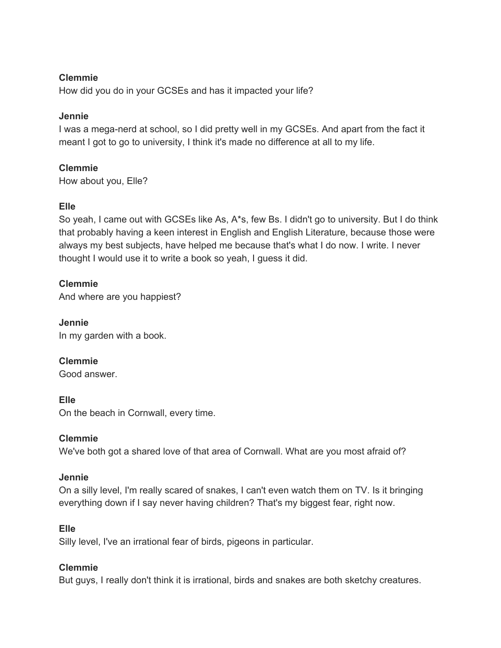How did you do in your GCSEs and has it impacted your life?

## **Jennie**

I was a mega-nerd at school, so I did pretty well in my GCSEs. And apart from the fact it meant I got to go to university, I think it's made no difference at all to my life.

# **Clemmie**

How about you, Elle?

# **Elle**

So yeah, I came out with GCSEs like As, A\*s, few Bs. I didn't go to university. But I do think that probably having a keen interest in English and English Literature, because those were always my best subjects, have helped me because that's what I do now. I write. I never thought I would use it to write a book so yeah, I guess it did.

# **Clemmie**

And where are you happiest?

**Jennie** In my garden with a book.

**Clemmie** Good answer.

# **Elle**

On the beach in Cornwall, every time.

# **Clemmie**

We've both got a shared love of that area of Cornwall. What are you most afraid of?

#### **Jennie**

On a silly level, I'm really scared of snakes, I can't even watch them on TV. Is it bringing everything down if I say never having children? That's my biggest fear, right now.

# **Elle**

Silly level, I've an irrational fear of birds, pigeons in particular.

# **Clemmie**

But guys, I really don't think it is irrational, birds and snakes are both sketchy creatures.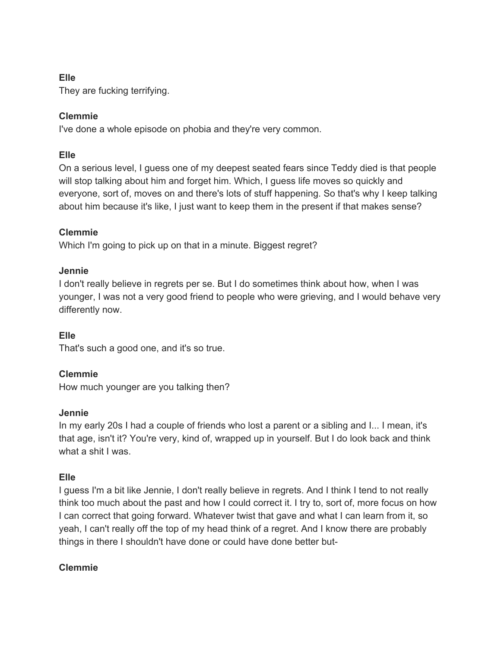# **Elle**

They are fucking terrifying.

# **Clemmie**

I've done a whole episode on phobia and they're very common.

# **Elle**

On a serious level, I guess one of my deepest seated fears since Teddy died is that people will stop talking about him and forget him. Which, I guess life moves so quickly and everyone, sort of, moves on and there's lots of stuff happening. So that's why I keep talking about him because it's like, I just want to keep them in the present if that makes sense?

# **Clemmie**

Which I'm going to pick up on that in a minute. Biggest regret?

# **Jennie**

I don't really believe in regrets per se. But I do sometimes think about how, when I was younger, I was not a very good friend to people who were grieving, and I would behave very differently now.

# **Elle**

That's such a good one, and it's so true.

# **Clemmie**

How much younger are you talking then?

# **Jennie**

In my early 20s I had a couple of friends who lost a parent or a sibling and I... I mean, it's that age, isn't it? You're very, kind of, wrapped up in yourself. But I do look back and think what a shit I was.

# **Elle**

I guess I'm a bit like Jennie, I don't really believe in regrets. And I think I tend to not really think too much about the past and how I could correct it. I try to, sort of, more focus on how I can correct that going forward. Whatever twist that gave and what I can learn from it, so yeah, I can't really off the top of my head think of a regret. And I know there are probably things in there I shouldn't have done or could have done better but-

# **Clemmie**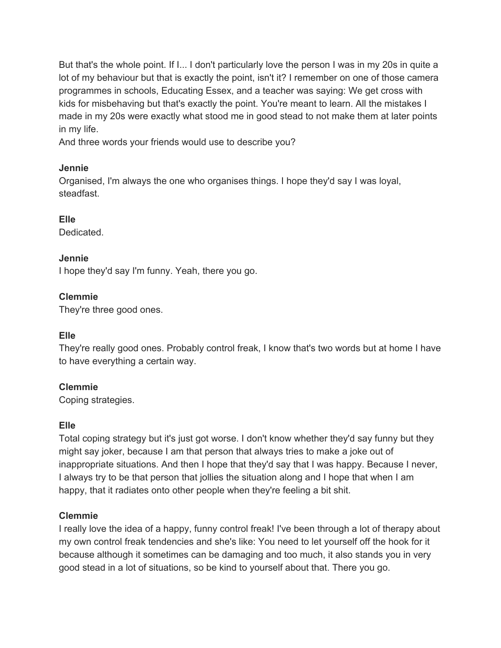But that's the whole point. If I... I don't particularly love the person I was in my 20s in quite a lot of my behaviour but that is exactly the point, isn't it? I remember on one of those camera programmes in schools, Educating Essex, and a teacher was saying: We get cross with kids for misbehaving but that's exactly the point. You're meant to learn. All the mistakes I made in my 20s were exactly what stood me in good stead to not make them at later points in my life.

And three words your friends would use to describe you?

## **Jennie**

Organised, I'm always the one who organises things. I hope they'd say I was loyal, steadfast.

# **Elle**

Dedicated.

# **Jennie**

I hope they'd say I'm funny. Yeah, there you go.

# **Clemmie**

They're three good ones.

# **Elle**

They're really good ones. Probably control freak, I know that's two words but at home I have to have everything a certain way.

# **Clemmie**

Coping strategies.

# **Elle**

Total coping strategy but it's just got worse. I don't know whether they'd say funny but they might say joker, because I am that person that always tries to make a joke out of inappropriate situations. And then I hope that they'd say that I was happy. Because I never, I always try to be that person that jollies the situation along and I hope that when I am happy, that it radiates onto other people when they're feeling a bit shit.

# **Clemmie**

I really love the idea of a happy, funny control freak! I've been through a lot of therapy about my own control freak tendencies and she's like: You need to let yourself off the hook for it because although it sometimes can be damaging and too much, it also stands you in very good stead in a lot of situations, so be kind to yourself about that. There you go.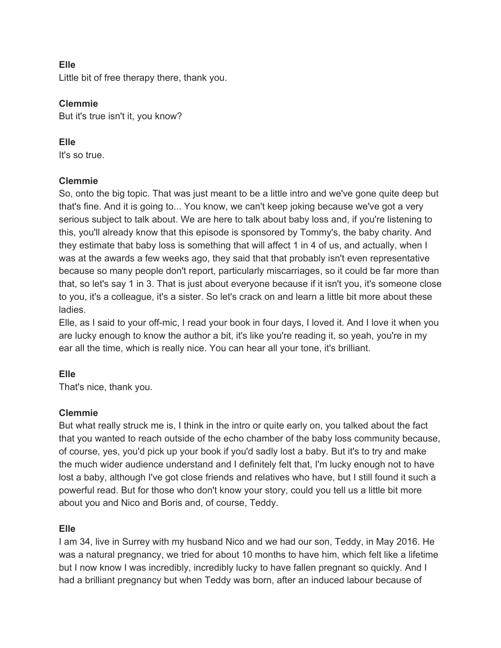## **Elle**

Little bit of free therapy there, thank you.

## **Clemmie**

But it's true isn't it, you know?

## **Elle**

It's so true.

# **Clemmie**

So, onto the big topic. That was just meant to be a little intro and we've gone quite deep but that's fine. And it is going to... You know, we can't keep joking because we've got a very serious subject to talk about. We are here to talk about baby loss and, if you're listening to this, you'll already know that this episode is sponsored by Tommy's, the baby charity. And they estimate that baby loss is something that will affect 1 in 4 of us, and actually, when I was at the awards a few weeks ago, they said that that probably isn't even representative because so many people don't report, particularly miscarriages, so it could be far more than that, so let's say 1 in 3. That is just about everyone because if it isn't you, it's someone close to you, it's a colleague, it's a sister. So let's crack on and learn a little bit more about these ladies.

Elle, as I said to your off-mic, I read your book in four days, I loved it. And I love it when you are lucky enough to know the author a bit, it's like you're reading it, so yeah, you're in my ear all the time, which is really nice. You can hear all your tone, it's brilliant.

# **Elle**

That's nice, thank you.

# **Clemmie**

But what really struck me is, I think in the intro or quite early on, you talked about the fact that you wanted to reach outside of the echo chamber of the baby loss community because, of course, yes, you'd pick up your book if you'd sadly lost a baby. But it's to try and make the much wider audience understand and I definitely felt that, I'm lucky enough not to have lost a baby, although I've got close friends and relatives who have, but I still found it such a powerful read. But for those who don't know your story, could you tell us a little bit more about you and Nico and Boris and, of course, Teddy.

# **Elle**

I am 34, live in Surrey with my husband Nico and we had our son, Teddy, in May 2016. He was a natural pregnancy, we tried for about 10 months to have him, which felt like a lifetime but I now know I was incredibly, incredibly lucky to have fallen pregnant so quickly. And I had a brilliant pregnancy but when Teddy was born, after an induced labour because of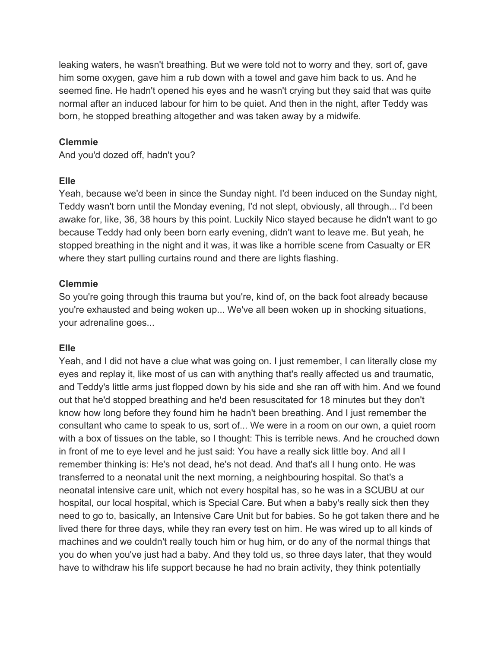leaking waters, he wasn't breathing. But we were told not to worry and they, sort of, gave him some oxygen, gave him a rub down with a towel and gave him back to us. And he seemed fine. He hadn't opened his eyes and he wasn't crying but they said that was quite normal after an induced labour for him to be quiet. And then in the night, after Teddy was born, he stopped breathing altogether and was taken away by a midwife.

#### **Clemmie**

And you'd dozed off, hadn't you?

#### **Elle**

Yeah, because we'd been in since the Sunday night. I'd been induced on the Sunday night, Teddy wasn't born until the Monday evening, I'd not slept, obviously, all through... I'd been awake for, like, 36, 38 hours by this point. Luckily Nico stayed because he didn't want to go because Teddy had only been born early evening, didn't want to leave me. But yeah, he stopped breathing in the night and it was, it was like a horrible scene from Casualty or ER where they start pulling curtains round and there are lights flashing.

## **Clemmie**

So you're going through this trauma but you're, kind of, on the back foot already because you're exhausted and being woken up... We've all been woken up in shocking situations, your adrenaline goes...

#### **Elle**

Yeah, and I did not have a clue what was going on. I just remember, I can literally close my eyes and replay it, like most of us can with anything that's really affected us and traumatic, and Teddy's little arms just flopped down by his side and she ran off with him. And we found out that he'd stopped breathing and he'd been resuscitated for 18 minutes but they don't know how long before they found him he hadn't been breathing. And I just remember the consultant who came to speak to us, sort of... We were in a room on our own, a quiet room with a box of tissues on the table, so I thought: This is terrible news. And he crouched down in front of me to eye level and he just said: You have a really sick little boy. And all I remember thinking is: He's not dead, he's not dead. And that's all I hung onto. He was transferred to a neonatal unit the next morning, a neighbouring hospital. So that's a neonatal intensive care unit, which not every hospital has, so he was in a SCUBU at our hospital, our local hospital, which is Special Care. But when a baby's really sick then they need to go to, basically, an Intensive Care Unit but for babies. So he got taken there and he lived there for three days, while they ran every test on him. He was wired up to all kinds of machines and we couldn't really touch him or hug him, or do any of the normal things that you do when you've just had a baby. And they told us, so three days later, that they would have to withdraw his life support because he had no brain activity, they think potentially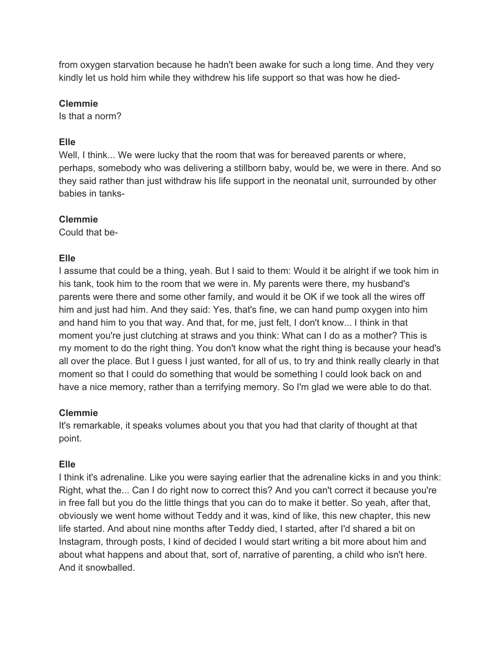from oxygen starvation because he hadn't been awake for such a long time. And they very kindly let us hold him while they withdrew his life support so that was how he died-

## **Clemmie**

Is that a norm?

# **Elle**

Well, I think... We were lucky that the room that was for bereaved parents or where, perhaps, somebody who was delivering a stillborn baby, would be, we were in there. And so they said rather than just withdraw his life support in the neonatal unit, surrounded by other babies in tanks-

# **Clemmie**

Could that be-

# **Elle**

I assume that could be a thing, yeah. But I said to them: Would it be alright if we took him in his tank, took him to the room that we were in. My parents were there, my husband's parents were there and some other family, and would it be OK if we took all the wires off him and just had him. And they said: Yes, that's fine, we can hand pump oxygen into him and hand him to you that way. And that, for me, just felt, I don't know... I think in that moment you're just clutching at straws and you think: What can I do as a mother? This is my moment to do the right thing. You don't know what the right thing is because your head's all over the place. But I guess I just wanted, for all of us, to try and think really clearly in that moment so that I could do something that would be something I could look back on and have a nice memory, rather than a terrifying memory. So I'm glad we were able to do that.

# **Clemmie**

It's remarkable, it speaks volumes about you that you had that clarity of thought at that point.

# **Elle**

I think it's adrenaline. Like you were saying earlier that the adrenaline kicks in and you think: Right, what the... Can I do right now to correct this? And you can't correct it because you're in free fall but you do the little things that you can do to make it better. So yeah, after that, obviously we went home without Teddy and it was, kind of like, this new chapter, this new life started. And about nine months after Teddy died, I started, after I'd shared a bit on Instagram, through posts, I kind of decided I would start writing a bit more about him and about what happens and about that, sort of, narrative of parenting, a child who isn't here. And it snowballed.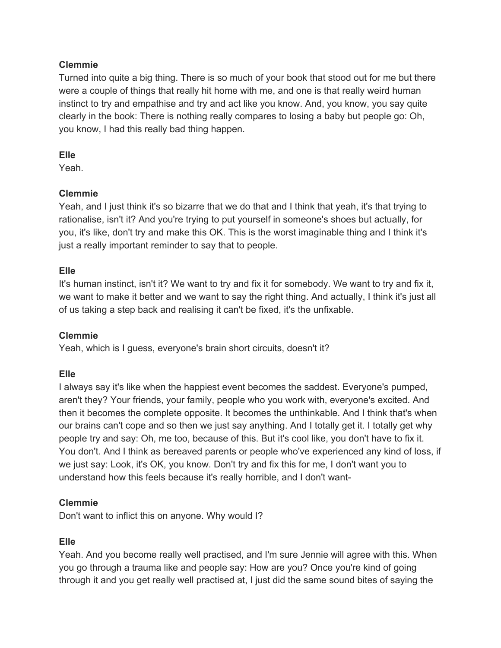Turned into quite a big thing. There is so much of your book that stood out for me but there were a couple of things that really hit home with me, and one is that really weird human instinct to try and empathise and try and act like you know. And, you know, you say quite clearly in the book: There is nothing really compares to losing a baby but people go: Oh, you know, I had this really bad thing happen.

## **Elle**

Yeah.

# **Clemmie**

Yeah, and I just think it's so bizarre that we do that and I think that yeah, it's that trying to rationalise, isn't it? And you're trying to put yourself in someone's shoes but actually, for you, it's like, don't try and make this OK. This is the worst imaginable thing and I think it's just a really important reminder to say that to people.

# **Elle**

It's human instinct, isn't it? We want to try and fix it for somebody. We want to try and fix it, we want to make it better and we want to say the right thing. And actually, I think it's just all of us taking a step back and realising it can't be fixed, it's the unfixable.

# **Clemmie**

Yeah, which is I guess, everyone's brain short circuits, doesn't it?

# **Elle**

I always say it's like when the happiest event becomes the saddest. Everyone's pumped, aren't they? Your friends, your family, people who you work with, everyone's excited. And then it becomes the complete opposite. It becomes the unthinkable. And I think that's when our brains can't cope and so then we just say anything. And I totally get it. I totally get why people try and say: Oh, me too, because of this. But it's cool like, you don't have to fix it. You don't. And I think as bereaved parents or people who've experienced any kind of loss, if we just say: Look, it's OK, you know. Don't try and fix this for me, I don't want you to understand how this feels because it's really horrible, and I don't want-

# **Clemmie**

Don't want to inflict this on anyone. Why would I?

# **Elle**

Yeah. And you become really well practised, and I'm sure Jennie will agree with this. When you go through a trauma like and people say: How are you? Once you're kind of going through it and you get really well practised at, I just did the same sound bites of saying the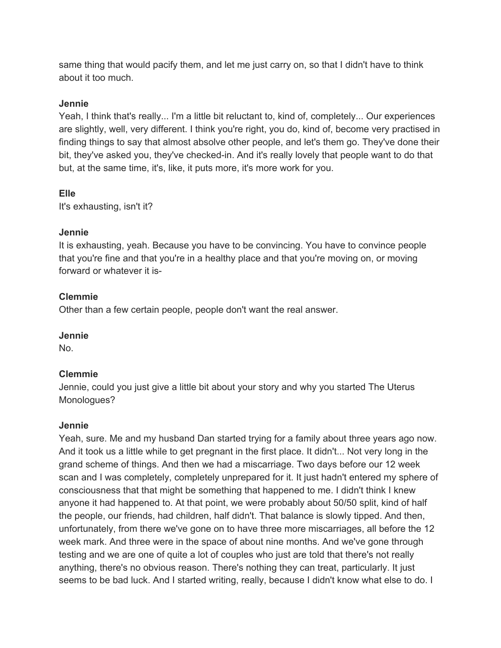same thing that would pacify them, and let me just carry on, so that I didn't have to think about it too much.

#### **Jennie**

Yeah, I think that's really... I'm a little bit reluctant to, kind of, completely... Our experiences are slightly, well, very different. I think you're right, you do, kind of, become very practised in finding things to say that almost absolve other people, and let's them go. They've done their bit, they've asked you, they've checked-in. And it's really lovely that people want to do that but, at the same time, it's, like, it puts more, it's more work for you.

# **Elle**

It's exhausting, isn't it?

# **Jennie**

It is exhausting, yeah. Because you have to be convincing. You have to convince people that you're fine and that you're in a healthy place and that you're moving on, or moving forward or whatever it is-

# **Clemmie**

Other than a few certain people, people don't want the real answer.

# **Jennie**

No.

# **Clemmie**

Jennie, could you just give a little bit about your story and why you started The Uterus Monologues?

# **Jennie**

Yeah, sure. Me and my husband Dan started trying for a family about three years ago now. And it took us a little while to get pregnant in the first place. It didn't... Not very long in the grand scheme of things. And then we had a miscarriage. Two days before our 12 week scan and I was completely, completely unprepared for it. It just hadn't entered my sphere of consciousness that that might be something that happened to me. I didn't think I knew anyone it had happened to. At that point, we were probably about 50/50 split, kind of half the people, our friends, had children, half didn't. That balance is slowly tipped. And then, unfortunately, from there we've gone on to have three more miscarriages, all before the 12 week mark. And three were in the space of about nine months. And we've gone through testing and we are one of quite a lot of couples who just are told that there's not really anything, there's no obvious reason. There's nothing they can treat, particularly. It just seems to be bad luck. And I started writing, really, because I didn't know what else to do. I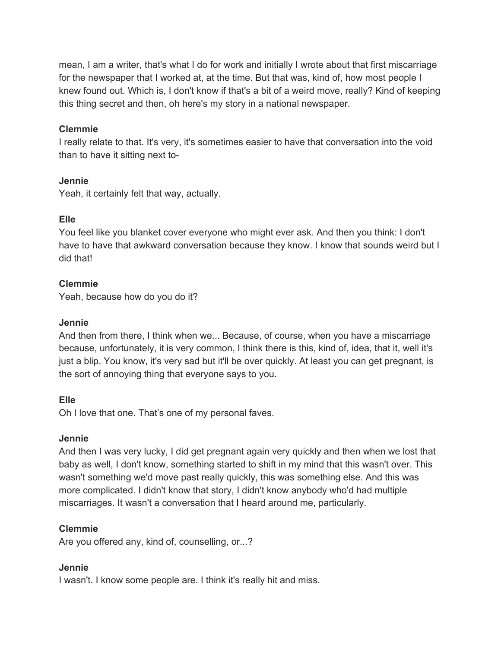mean, I am a writer, that's what I do for work and initially I wrote about that first miscarriage for the newspaper that I worked at, at the time. But that was, kind of, how most people I knew found out. Which is, I don't know if that's a bit of a weird move, really? Kind of keeping this thing secret and then, oh here's my story in a national newspaper.

#### **Clemmie**

I really relate to that. It's very, it's sometimes easier to have that conversation into the void than to have it sitting next to-

## **Jennie**

Yeah, it certainly felt that way, actually.

# **Elle**

You feel like you blanket cover everyone who might ever ask. And then you think: I don't have to have that awkward conversation because they know. I know that sounds weird but I did that!

# **Clemmie**

Yeah, because how do you do it?

# **Jennie**

And then from there, I think when we... Because, of course, when you have a miscarriage because, unfortunately, it is very common, I think there is this, kind of, idea, that it, well it's just a blip. You know, it's very sad but it'll be over quickly. At least you can get pregnant, is the sort of annoying thing that everyone says to you.

# **Elle**

Oh I love that one. That's one of my personal faves.

# **Jennie**

And then I was very lucky, I did get pregnant again very quickly and then when we lost that baby as well, I don't know, something started to shift in my mind that this wasn't over. This wasn't something we'd move past really quickly, this was something else. And this was more complicated. I didn't know that story, I didn't know anybody who'd had multiple miscarriages. It wasn't a conversation that I heard around me, particularly.

# **Clemmie**

Are you offered any, kind of, counselling, or...?

# **Jennie**

I wasn't. I know some people are. I think it's really hit and miss.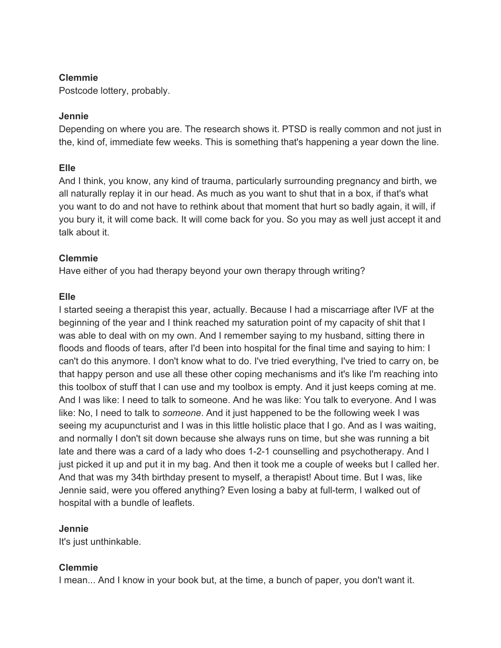Postcode lottery, probably.

#### **Jennie**

Depending on where you are. The research shows it. PTSD is really common and not just in the, kind of, immediate few weeks. This is something that's happening a year down the line.

## **Elle**

And I think, you know, any kind of trauma, particularly surrounding pregnancy and birth, we all naturally replay it in our head. As much as you want to shut that in a box, if that's what you want to do and not have to rethink about that moment that hurt so badly again, it will, if you bury it, it will come back. It will come back for you. So you may as well just accept it and talk about it.

# **Clemmie**

Have either of you had therapy beyond your own therapy through writing?

## **Elle**

I started seeing a therapist this year, actually. Because I had a miscarriage after IVF at the beginning of the year and I think reached my saturation point of my capacity of shit that I was able to deal with on my own. And I remember saying to my husband, sitting there in floods and floods of tears, after I'd been into hospital for the final time and saying to him: I can't do this anymore. I don't know what to do. I've tried everything, I've tried to carry on, be that happy person and use all these other coping mechanisms and it's like I'm reaching into this toolbox of stuff that I can use and my toolbox is empty. And it just keeps coming at me. And I was like: I need to talk to someone. And he was like: You talk to everyone. And I was like: No, I need to talk to *someone*. And it just happened to be the following week I was seeing my acupuncturist and I was in this little holistic place that I go. And as I was waiting, and normally I don't sit down because she always runs on time, but she was running a bit late and there was a card of a lady who does 1-2-1 counselling and psychotherapy. And I just picked it up and put it in my bag. And then it took me a couple of weeks but I called her. And that was my 34th birthday present to myself, a therapist! About time. But I was, like Jennie said, were you offered anything? Even losing a baby at full-term, I walked out of hospital with a bundle of leaflets.

#### **Jennie**

It's just unthinkable.

# **Clemmie**

I mean... And I know in your book but, at the time, a bunch of paper, you don't want it.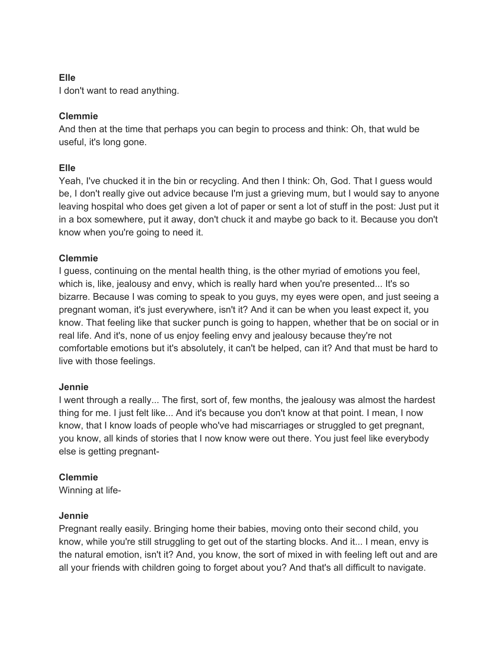## **Elle**

I don't want to read anything.

# **Clemmie**

And then at the time that perhaps you can begin to process and think: Oh, that wuld be useful, it's long gone.

# **Elle**

Yeah, I've chucked it in the bin or recycling. And then I think: Oh, God. That I guess would be, I don't really give out advice because I'm just a grieving mum, but I would say to anyone leaving hospital who does get given a lot of paper or sent a lot of stuff in the post: Just put it in a box somewhere, put it away, don't chuck it and maybe go back to it. Because you don't know when you're going to need it.

## **Clemmie**

I guess, continuing on the mental health thing, is the other myriad of emotions you feel, which is, like, jealousy and envy, which is really hard when you're presented... It's so bizarre. Because I was coming to speak to you guys, my eyes were open, and just seeing a pregnant woman, it's just everywhere, isn't it? And it can be when you least expect it, you know. That feeling like that sucker punch is going to happen, whether that be on social or in real life. And it's, none of us enjoy feeling envy and jealousy because they're not comfortable emotions but it's absolutely, it can't be helped, can it? And that must be hard to live with those feelings.

#### **Jennie**

I went through a really... The first, sort of, few months, the jealousy was almost the hardest thing for me. I just felt like... And it's because you don't know at that point. I mean, I now know, that I know loads of people who've had miscarriages or struggled to get pregnant, you know, all kinds of stories that I now know were out there. You just feel like everybody else is getting pregnant-

# **Clemmie**

Winning at life-

#### **Jennie**

Pregnant really easily. Bringing home their babies, moving onto their second child, you know, while you're still struggling to get out of the starting blocks. And it... I mean, envy is the natural emotion, isn't it? And, you know, the sort of mixed in with feeling left out and are all your friends with children going to forget about you? And that's all difficult to navigate.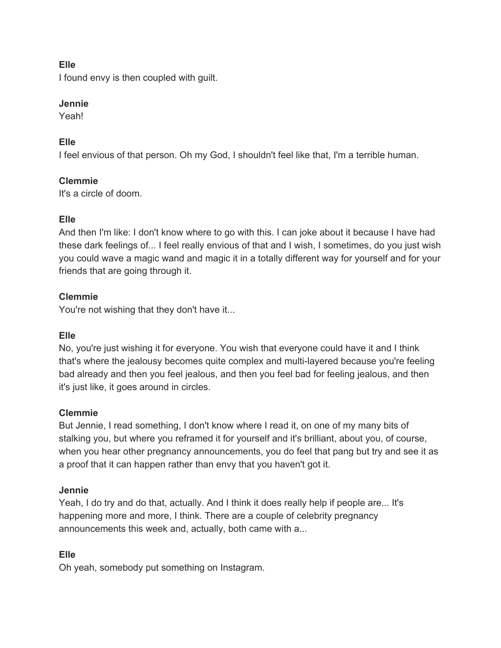## **Elle**

I found envy is then coupled with guilt.

## **Jennie**

Yeah!

# **Elle**

I feel envious of that person. Oh my God, I shouldn't feel like that, I'm a terrible human.

# **Clemmie**

It's a circle of doom.

# **Elle**

And then I'm like: I don't know where to go with this. I can joke about it because I have had these dark feelings of... I feel really envious of that and I wish, I sometimes, do you just wish you could wave a magic wand and magic it in a totally different way for yourself and for your friends that are going through it.

# **Clemmie**

You're not wishing that they don't have it...

# **Elle**

No, you're just wishing it for everyone. You wish that everyone could have it and I think that's where the jealousy becomes quite complex and multi-layered because you're feeling bad already and then you feel jealous, and then you feel bad for feeling jealous, and then it's just like, it goes around in circles.

# **Clemmie**

But Jennie, I read something, I don't know where I read it, on one of my many bits of stalking you, but where you reframed it for yourself and it's brilliant, about you, of course, when you hear other pregnancy announcements, you do feel that pang but try and see it as a proof that it can happen rather than envy that you haven't got it.

# **Jennie**

Yeah, I do try and do that, actually. And I think it does really help if people are... It's happening more and more, I think. There are a couple of celebrity pregnancy announcements this week and, actually, both came with a...

# **Elle**

Oh yeah, somebody put something on Instagram.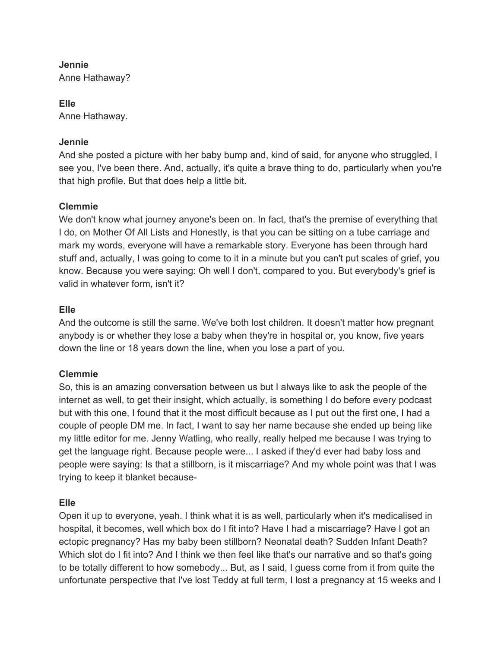# **Jennie**

Anne Hathaway?

**Elle** Anne Hathaway.

#### **Jennie**

And she posted a picture with her baby bump and, kind of said, for anyone who struggled, I see you, I've been there. And, actually, it's quite a brave thing to do, particularly when you're that high profile. But that does help a little bit.

## **Clemmie**

We don't know what journey anyone's been on. In fact, that's the premise of everything that I do, on Mother Of All Lists and Honestly, is that you can be sitting on a tube carriage and mark my words, everyone will have a remarkable story. Everyone has been through hard stuff and, actually, I was going to come to it in a minute but you can't put scales of grief, you know. Because you were saying: Oh well I don't, compared to you. But everybody's grief is valid in whatever form, isn't it?

# **Elle**

And the outcome is still the same. We've both lost children. It doesn't matter how pregnant anybody is or whether they lose a baby when they're in hospital or, you know, five years down the line or 18 years down the line, when you lose a part of you.

# **Clemmie**

So, this is an amazing conversation between us but I always like to ask the people of the internet as well, to get their insight, which actually, is something I do before every podcast but with this one, I found that it the most difficult because as I put out the first one, I had a couple of people DM me. In fact, I want to say her name because she ended up being like my little editor for me. Jenny Watling, who really, really helped me because I was trying to get the language right. Because people were... I asked if they'd ever had baby loss and people were saying: Is that a stillborn, is it miscarriage? And my whole point was that I was trying to keep it blanket because-

#### **Elle**

Open it up to everyone, yeah. I think what it is as well, particularly when it's medicalised in hospital, it becomes, well which box do I fit into? Have I had a miscarriage? Have I got an ectopic pregnancy? Has my baby been stillborn? Neonatal death? Sudden Infant Death? Which slot do I fit into? And I think we then feel like that's our narrative and so that's going to be totally different to how somebody... But, as I said, I guess come from it from quite the unfortunate perspective that I've lost Teddy at full term, I lost a pregnancy at 15 weeks and I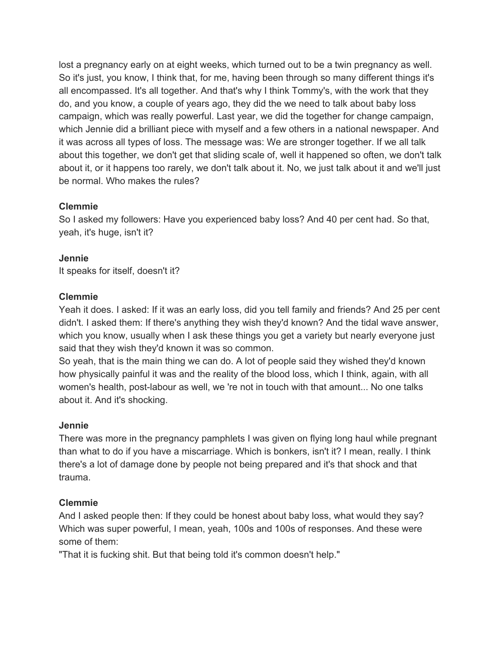lost a pregnancy early on at eight weeks, which turned out to be a twin pregnancy as well. So it's just, you know, I think that, for me, having been through so many different things it's all encompassed. It's all together. And that's why I think Tommy's, with the work that they do, and you know, a couple of years ago, they did the we need to talk about baby loss campaign, which was really powerful. Last year, we did the together for change campaign, which Jennie did a brilliant piece with myself and a few others in a national newspaper. And it was across all types of loss. The message was: We are stronger together. If we all talk about this together, we don't get that sliding scale of, well it happened so often, we don't talk about it, or it happens too rarely, we don't talk about it. No, we just talk about it and we'll just be normal. Who makes the rules?

#### **Clemmie**

So I asked my followers: Have you experienced baby loss? And 40 per cent had. So that, yeah, it's huge, isn't it?

#### **Jennie**

It speaks for itself, doesn't it?

#### **Clemmie**

Yeah it does. I asked: If it was an early loss, did you tell family and friends? And 25 per cent didn't. I asked them: If there's anything they wish they'd known? And the tidal wave answer, which you know, usually when I ask these things you get a variety but nearly everyone just said that they wish they'd known it was so common.

So yeah, that is the main thing we can do. A lot of people said they wished they'd known how physically painful it was and the reality of the blood loss, which I think, again, with all women's health, post-labour as well, we 're not in touch with that amount... No one talks about it. And it's shocking.

#### **Jennie**

There was more in the pregnancy pamphlets I was given on flying long haul while pregnant than what to do if you have a miscarriage. Which is bonkers, isn't it? I mean, really. I think there's a lot of damage done by people not being prepared and it's that shock and that trauma.

#### **Clemmie**

And I asked people then: If they could be honest about baby loss, what would they say? Which was super powerful, I mean, yeah, 100s and 100s of responses. And these were some of them:

"That it is fucking shit. But that being told it's common doesn't help."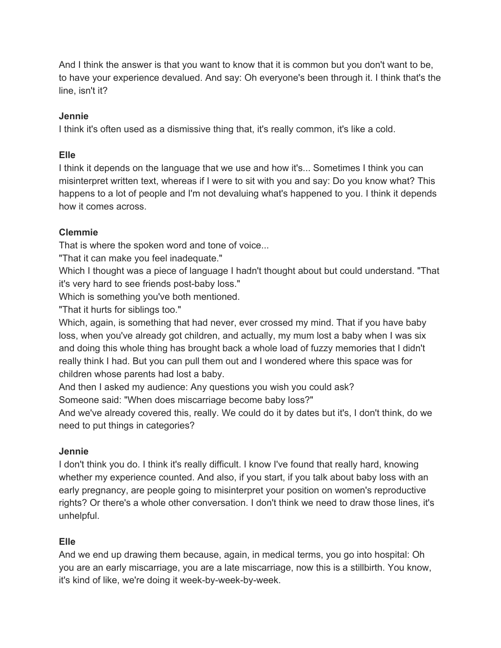And I think the answer is that you want to know that it is common but you don't want to be, to have your experience devalued. And say: Oh everyone's been through it. I think that's the line, isn't it?

#### **Jennie**

I think it's often used as a dismissive thing that, it's really common, it's like a cold.

## **Elle**

I think it depends on the language that we use and how it's... Sometimes I think you can misinterpret written text, whereas if I were to sit with you and say: Do you know what? This happens to a lot of people and I'm not devaluing what's happened to you. I think it depends how it comes across.

# **Clemmie**

That is where the spoken word and tone of voice...

"That it can make you feel inadequate."

Which I thought was a piece of language I hadn't thought about but could understand. "That it's very hard to see friends post-baby loss."

Which is something you've both mentioned.

"That it hurts for siblings too."

Which, again, is something that had never, ever crossed my mind. That if you have baby loss, when you've already got children, and actually, my mum lost a baby when I was six and doing this whole thing has brought back a whole load of fuzzy memories that I didn't really think I had. But you can pull them out and I wondered where this space was for children whose parents had lost a baby.

And then I asked my audience: Any questions you wish you could ask?

Someone said: "When does miscarriage become baby loss?"

And we've already covered this, really. We could do it by dates but it's, I don't think, do we need to put things in categories?

# **Jennie**

I don't think you do. I think it's really difficult. I know I've found that really hard, knowing whether my experience counted. And also, if you start, if you talk about baby loss with an early pregnancy, are people going to misinterpret your position on women's reproductive rights? Or there's a whole other conversation. I don't think we need to draw those lines, it's unhelpful.

# **Elle**

And we end up drawing them because, again, in medical terms, you go into hospital: Oh you are an early miscarriage, you are a late miscarriage, now this is a stillbirth. You know, it's kind of like, we're doing it week-by-week-by-week.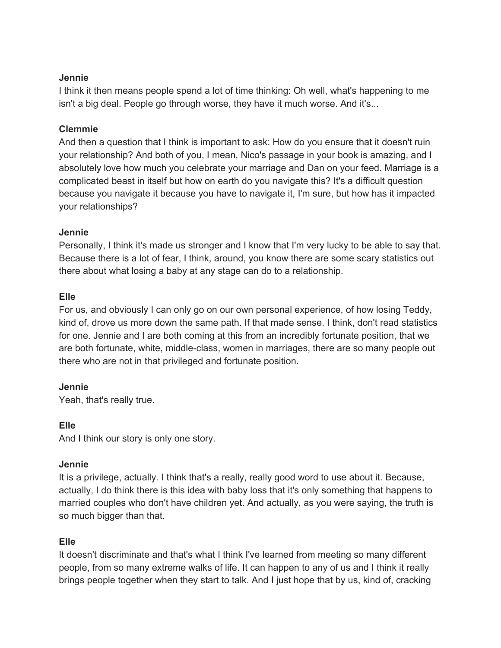#### **Jennie**

I think it then means people spend a lot of time thinking: Oh well, what's happening to me isn't a big deal. People go through worse, they have it much worse. And it's...

#### **Clemmie**

And then a question that I think is important to ask: How do you ensure that it doesn't ruin your relationship? And both of you, I mean, Nico's passage in your book is amazing, and I absolutely love how much you celebrate your marriage and Dan on your feed. Marriage is a complicated beast in itself but how on earth do you navigate this? It's a difficult question because you navigate it because you have to navigate it, I'm sure, but how has it impacted your relationships?

#### **Jennie**

Personally, I think it's made us stronger and I know that I'm very lucky to be able to say that. Because there is a lot of fear, I think, around, you know there are some scary statistics out there about what losing a baby at any stage can do to a relationship.

## **Elle**

For us, and obviously I can only go on our own personal experience, of how losing Teddy, kind of, drove us more down the same path. If that made sense. I think, don't read statistics for one. Jennie and I are both coming at this from an incredibly fortunate position, that we are both fortunate, white, middle-class, women in marriages, there are so many people out there who are not in that privileged and fortunate position.

#### **Jennie**

Yeah, that's really true.

#### **Elle**

And I think our story is only one story.

#### **Jennie**

It is a privilege, actually. I think that's a really, really good word to use about it. Because, actually, I do think there is this idea with baby loss that it's only something that happens to married couples who don't have children yet. And actually, as you were saying, the truth is so much bigger than that.

# **Elle**

It doesn't discriminate and that's what I think I've learned from meeting so many different people, from so many extreme walks of life. It can happen to any of us and I think it really brings people together when they start to talk. And I just hope that by us, kind of, cracking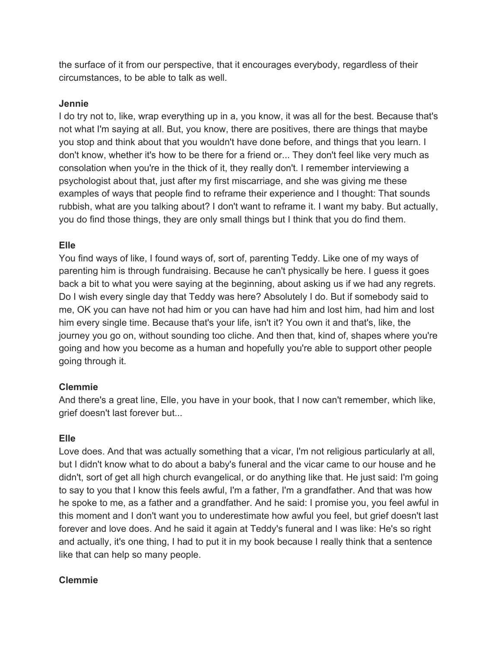the surface of it from our perspective, that it encourages everybody, regardless of their circumstances, to be able to talk as well.

#### **Jennie**

I do try not to, like, wrap everything up in a, you know, it was all for the best. Because that's not what I'm saying at all. But, you know, there are positives, there are things that maybe you stop and think about that you wouldn't have done before, and things that you learn. I don't know, whether it's how to be there for a friend or... They don't feel like very much as consolation when you're in the thick of it, they really don't. I remember interviewing a psychologist about that, just after my first miscarriage, and she was giving me these examples of ways that people find to reframe their experience and I thought: That sounds rubbish, what are you talking about? I don't want to reframe it. I want my baby. But actually, you do find those things, they are only small things but I think that you do find them.

# **Elle**

You find ways of like, I found ways of, sort of, parenting Teddy. Like one of my ways of parenting him is through fundraising. Because he can't physically be here. I guess it goes back a bit to what you were saying at the beginning, about asking us if we had any regrets. Do I wish every single day that Teddy was here? Absolutely I do. But if somebody said to me, OK you can have not had him or you can have had him and lost him, had him and lost him every single time. Because that's your life, isn't it? You own it and that's, like, the journey you go on, without sounding too cliche. And then that, kind of, shapes where you're going and how you become as a human and hopefully you're able to support other people going through it.

# **Clemmie**

And there's a great line, Elle, you have in your book, that I now can't remember, which like, grief doesn't last forever but...

# **Elle**

Love does. And that was actually something that a vicar, I'm not religious particularly at all, but I didn't know what to do about a baby's funeral and the vicar came to our house and he didn't, sort of get all high church evangelical, or do anything like that. He just said: I'm going to say to you that I know this feels awful, I'm a father, I'm a grandfather. And that was how he spoke to me, as a father and a grandfather. And he said: I promise you, you feel awful in this moment and I don't want you to underestimate how awful you feel, but grief doesn't last forever and love does. And he said it again at Teddy's funeral and I was like: He's so right and actually, it's one thing, I had to put it in my book because I really think that a sentence like that can help so many people.

# **Clemmie**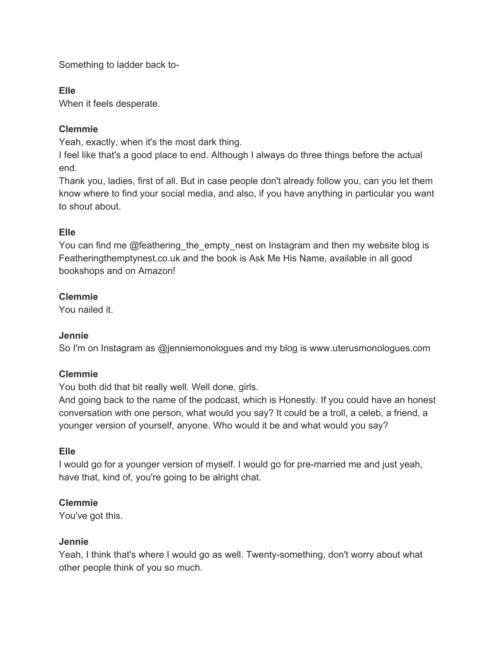Something to ladder back to-

# **Elle**

When it feels desperate.

# **Clemmie**

Yeah, exactly, when it's the most dark thing.

I feel like that's a good place to end. Although I always do three things before the actual end.

Thank you, ladies, first of all. But in case people don't already follow you, can you let them know where to find your social media, and also, if you have anything in particular you want to shout about.

# **Elle**

You can find me @feathering\_the\_empty\_nest on Instagram and then my website blog is Featheringthemptynest.co.uk and the book is Ask Me His Name, available in all good bookshops and on Amazon!

# **Clemmie**

You nailed it.

# **Jennie**

So I'm on Instagram as @jenniemonologues and my blog is www.uterusmonologues.com

# **Clemmie**

You both did that bit really well. Well done, girls.

And going back to the name of the podcast, which is Honestly. If you could have an honest conversation with one person, what would you say? It could be a troll, a celeb, a friend, a younger version of yourself, anyone. Who would it be and what would you say?

# **Elle**

I would go for a younger version of myself. I would go for pre-married me and just yeah, have that, kind of, you're going to be alright chat.

# **Clemmie**

You've got this.

# **Jennie**

Yeah, I think that's where I would go as well. Twenty-something, don't worry about what other people think of you so much.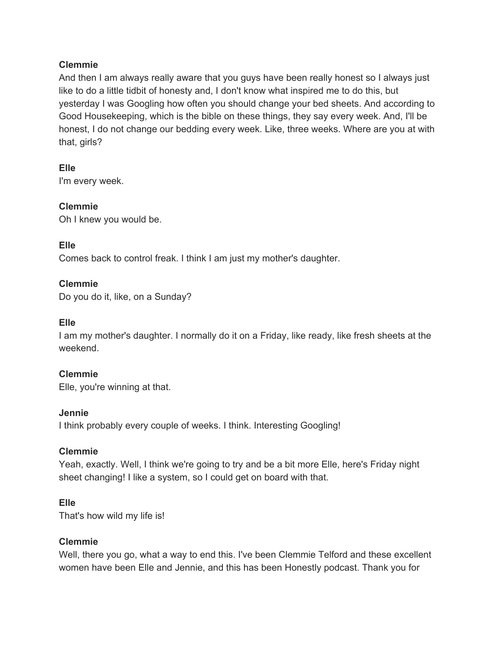And then I am always really aware that you guys have been really honest so I always just like to do a little tidbit of honesty and, I don't know what inspired me to do this, but yesterday I was Googling how often you should change your bed sheets. And according to Good Housekeeping, which is the bible on these things, they say every week. And, I'll be honest, I do not change our bedding every week. Like, three weeks. Where are you at with that, girls?

**Elle** I'm every week.

**Clemmie** Oh I knew you would be.

## **Elle**

Comes back to control freak. I think I am just my mother's daughter.

## **Clemmie**

Do you do it, like, on a Sunday?

## **Elle**

I am my mother's daughter. I normally do it on a Friday, like ready, like fresh sheets at the weekend.

#### **Clemmie**

Elle, you're winning at that.

#### **Jennie**

I think probably every couple of weeks. I think. Interesting Googling!

# **Clemmie**

Yeah, exactly. Well, I think we're going to try and be a bit more Elle, here's Friday night sheet changing! I like a system, so I could get on board with that.

#### **Elle**

That's how wild my life is!

#### **Clemmie**

Well, there you go, what a way to end this. I've been Clemmie Telford and these excellent women have been Elle and Jennie, and this has been Honestly podcast. Thank you for